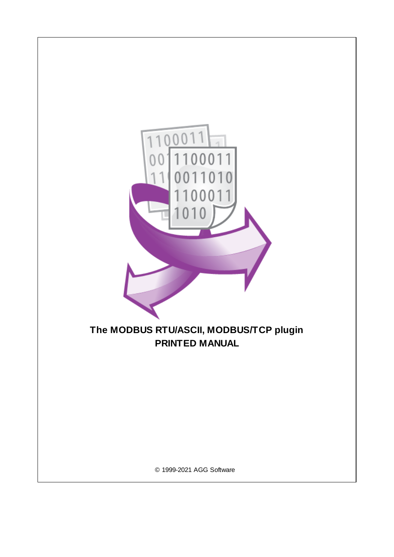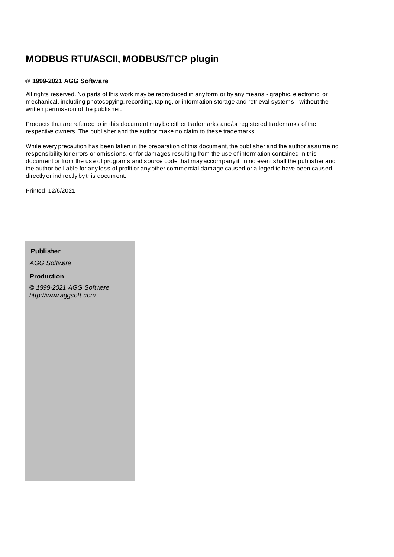# **MODBUS RTU/ASCII, MODBUS/TCP plugin**

#### **© 1999-2021 AGG Software**

All rights reserved. No parts of this work may be reproduced in any form or by any means - graphic, electronic, or mechanical, including photocopying, recording, taping, or information storage and retrieval systems - without the written permission of the publisher.

Products that are referred to in this document may be either trademarks and/or registered trademarks of the respective owners. The publisher and the author make no claim to these trademarks.

While every precaution has been taken in the preparation of this document, the publisher and the author assume no responsibility for errors or omissions, or for damages resulting from the use of information contained in this document or from the use of programs and source code that may accompany it. In no event shall the publisher and the author be liable for any loss of profit or any other commercial damage caused or alleged to have been caused directly or indirectly by this document.

Printed: 12/6/2021

**Publisher**

*AGG Software*

**Production**

*© 1999-2021 AGG Software http://www.aggsoft.com*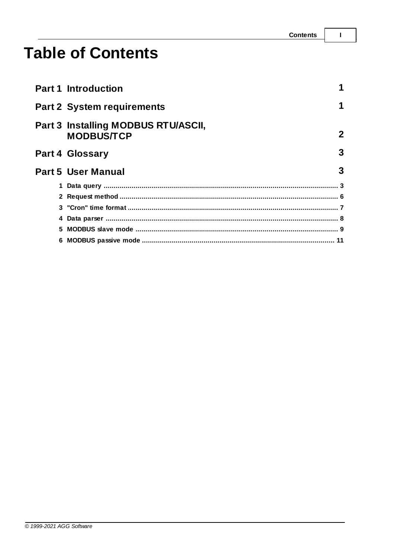$\overline{1}$ 

# **Table of Contents**

|   | <b>Part 1 Introduction</b>                               |              |
|---|----------------------------------------------------------|--------------|
|   | <b>Part 2 System requirements</b>                        | 1            |
|   | Part 3 Installing MODBUS RTU/ASCII,<br><b>MODBUS/TCP</b> | $\mathbf{2}$ |
|   | <b>Part 4 Glossary</b>                                   | 3            |
|   |                                                          |              |
|   | <b>Part 5 User Manual</b>                                | 3            |
|   |                                                          |              |
|   |                                                          |              |
|   |                                                          |              |
| 4 |                                                          |              |
|   |                                                          |              |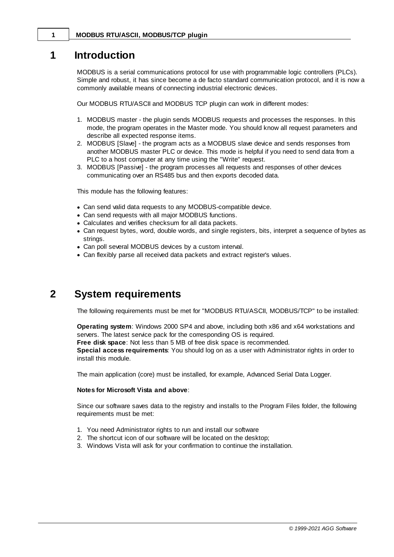## <span id="page-3-0"></span>**1 Introduction**

MODBUS is a serial communications protocol for use with programmable logic controllers (PLCs). Simple and robust, it has since become a de facto standard communication protocol, and it is now a commonly available means of connecting industrial electronic devices.

Our MODBUS RTU/ASCII and MODBUS TCP plugin can work in different modes:

- 1. MODBUS master the plugin sends MODBUS requests and processes the responses. In this mode, the program operates in the Master mode. You should know all request parameters and describe all expected response items.
- 2. MODBUS [Slave] the program acts as a MODBUS slave device and sends responses from another MODBUS master PLC or device. This mode is helpful if you need to send data from a PLC to a host computer at any time using the "Write" request.
- 3. MODBUS [Passive] the program processes all requests and responses of other devices communicating over an RS485 bus and then exports decoded data.

This module has the following features:

- · Can send valid data requests to any MODBUS-compatible device.
- · Can send requests with all major MODBUS functions.
- · Calculates and verifies checksum for all data packets.
- · Can request bytes, word, double words, and single registers, bits, interpret a sequence of bytes as strings.
- · Can poll several MODBUS devices by a custom interval.
- · Can flexibly parse all received data packets and extract register's values.

# <span id="page-3-1"></span>**2 System requirements**

The following requirements must be met for "MODBUS RTU/ASCII, MODBUS/TCP" to be installed:

**Operating system**: Windows 2000 SP4 and above, including both x86 and x64 workstations and servers. The latest service pack for the corresponding OS is required.

**Free disk space**: Not less than 5 MB of free disk space is recommended.

**Special access requirements**: You should log on as a user with Administrator rights in order to install this module.

The main application (core) must be installed, for example, Advanced Serial Data Logger.

#### **Notes for Microsoft Vista and above**:

Since our software saves data to the registry and installs to the Program Files folder, the following requirements must be met:

- 1. You need Administrator rights to run and install our software
- 2. The shortcut icon of our software will be located on the desktop;
- 3. Windows Vista will ask for your confirmation to continue the installation.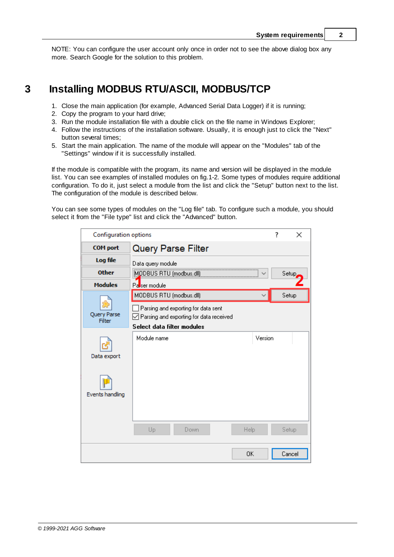NOTE: You can configure the user account only once in order not to see the above dialog box any more. Search Google for the solution to this problem.

# <span id="page-4-0"></span>**3 Installing MODBUS RTU/ASCII, MODBUS/TCP**

- 1. Close the main application (for example, Advanced Serial Data Logger) if it is running;
- 2. Copy the program to your hard drive;
- 3. Run the module installation file with a double click on the file name in Windows Explorer;
- 4. Follow the instructions of the installation software. Usually, it is enough just to click the "Next" button several times;
- 5. Start the main application. The name of the module will appear on the "Modules" tab of the "Settings" window if it is successfully installed.

If the module is compatible with the program, its name and version will be displayed in the module list. You can see examples of installed modules on fig.1-2. Some types of modules require additional configuration. To do it, just select a module from the list and click the "Setup" button next to the list. The configuration of the module is described below.

You can see some types of modules on the "Log file" tab. To configure such a module, you should select it from the "File type" list and click the "Advanced" button.

| Configuration options |                                                                                                     | 7 | ×      |
|-----------------------|-----------------------------------------------------------------------------------------------------|---|--------|
| <b>COM</b> port       | <b>Query Parse Filter</b>                                                                           |   |        |
| Log file              | Data query module                                                                                   |   |        |
| <b>Other</b>          | MODBUS RTU (modbus.dll)                                                                             |   | Setup, |
| <b>Modules</b>        | Passer module                                                                                       |   |        |
|                       | MODBUS RTU (modbus.dll)                                                                             |   | Setup  |
| Query Parse<br>Filter | Parsing and exporting for data sent<br>$\sqrt{\phantom{a}}$ Parsing and exporting for data received |   |        |
|                       | Select data filter modules                                                                          |   |        |
| Data export           | Module name<br>Version                                                                              |   |        |
| Events handling       |                                                                                                     |   |        |
|                       | Up<br>Down<br>Help                                                                                  |   | Setup  |
|                       | OK.                                                                                                 |   | Cancel |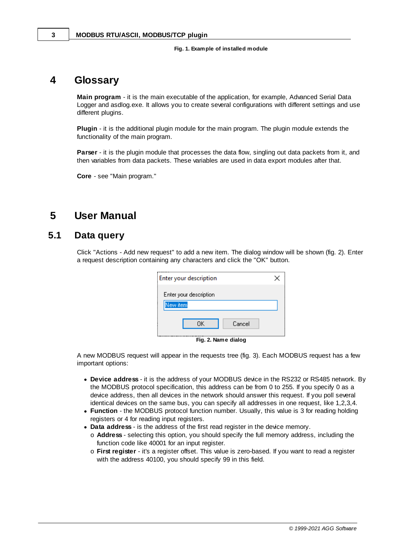#### **Fig. 1. Example of installed module**

## <span id="page-5-0"></span>**4 Glossary**

**Main program** - it is the main executable of the application, for example, Advanced Serial Data Logger and asdlog.exe. It allows you to create several configurations with different settings and use different plugins.

**Plugin** - it is the additional plugin module for the main program. The plugin module extends the functionality of the main program.

**Parser** - it is the plugin module that processes the data flow, singling out data packets from it, and then variables from data packets. These variables are used in data export modules after that.

**Core** - see "Main program."

## <span id="page-5-1"></span>**5 User Manual**

### **5.1 Data query**

Click "Actions - Add new request" to add a new item. The dialog window will be shown (fig. 2). Enter a request description containing any characters and click the "OK" button.

| Enter your description           |  |
|----------------------------------|--|
| Enter your description           |  |
| New item                         |  |
| ΩK<br>Cancel                     |  |
| ومتعالما المتلوي والمستحلة<br>−… |  |

**Fig. 2. Name dialog**

A new MODBUS request will appear in the requests tree (fig. 3). Each MODBUS request has a few important options:

- · **Device address** it is the address of your MODBUS device in the RS232 or RS485 network. By the MODBUS protocol specification, this address can be from 0 to 255. If you specify 0 as a device address, then all devices in the network should answer this request. If you poll several identical devices on the same bus, you can specify all addresses in one request, like 1,2,3,4.
- · **Function** the MODBUS protocol function number. Usually, this value is 3 for reading holding registers or 4 for reading input registers.
- · **Data address** is the address of the first read register in the device memory.
	- o **Address** selecting this option, you should specify the full memory address, including the function code like 40001 for an input register.
	- o **First register** it's a register offset. This value is zero-based. If you want to read a register with the address 40100, you should specify 99 in this field.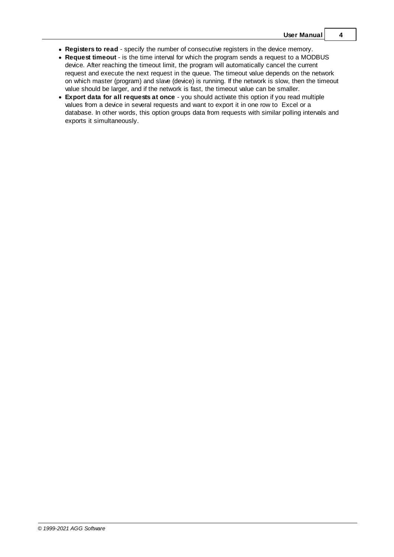- · **Registers to read** specify the number of consecutive registers in the device memory.
- · **Request timeout** is the time interval for which the program sends a request to a MODBUS device. After reaching the timeout limit, the program will automatically cancel the current request and execute the next request in the queue. The timeout value depends on the network on which master (program) and slave (device) is running. If the network is slow, then the timeout value should be larger, and if the network is fast, the timeout value can be smaller.
- · **Export data for all requests at once** you should activate this option if you read multiple values from a device in several requests and want to export it in one row to Excel or a database. In other words, this option groups data from requests with similar polling intervals and exports it simultaneously.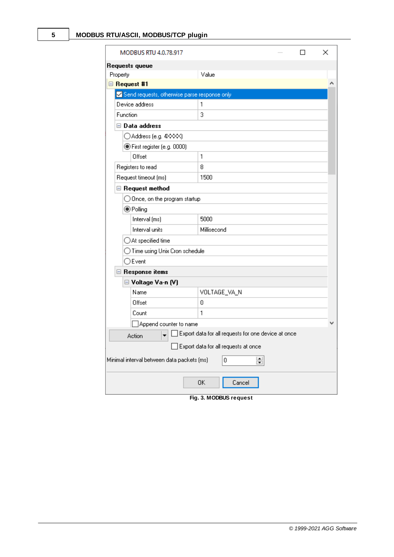| <b>MODBUS RTU 4.0.78.917</b>                 |                                                     |  | × |
|----------------------------------------------|-----------------------------------------------------|--|---|
| Requests queue                               |                                                     |  |   |
| Property                                     | Value                                               |  |   |
| □ Request #1                                 |                                                     |  |   |
| Send requests, otherwise parse response only |                                                     |  |   |
| Device address                               | 1                                                   |  |   |
| Function                                     | 3                                                   |  |   |
| $\boxminus$ Data address                     |                                                     |  |   |
| ◯ Address (e.g. 4××××)                       |                                                     |  |   |
| ◉ First register (e.g. 0000)                 |                                                     |  |   |
| Offset                                       | 1                                                   |  |   |
| Registers to read                            | 8                                                   |  |   |
| Request timeout (ms)                         | 1500                                                |  |   |
| Request method                               |                                                     |  |   |
| $\bigcirc$ Once, on the program startup      |                                                     |  |   |
| ◉ Polling                                    |                                                     |  |   |
| Interval (ms)                                | 5000                                                |  |   |
| Interval units                               | Millisecond                                         |  |   |
| $\supset$ At specified time                  |                                                     |  |   |
| ) Time using Unix Cron schedule              |                                                     |  |   |
| $\bigcirc$ Event                             |                                                     |  |   |
| □ Response items                             |                                                     |  |   |
| □ Voltage Va-n (V)                           |                                                     |  |   |
| Name                                         | VOLTAGE_VA_N                                        |  |   |
| Offset                                       | 0                                                   |  |   |
| Count                                        | 1                                                   |  |   |
| Append counter to name]                      |                                                     |  | v |
| Action                                       | Export data for all requests for one device at once |  |   |
|                                              | Export data for all requests at once                |  |   |
| Minimal interval between data packets (ms)   | ▴<br>0<br>$\blacksquare$                            |  |   |
|                                              | ΟK<br>Cancel                                        |  |   |

**Fig. 3. MODBUS request**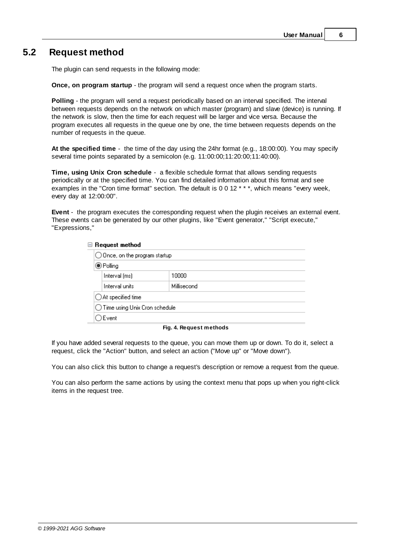## <span id="page-8-0"></span>**5.2 Request method**

The plugin can send requests in the following mode:

**Once, on program startup** - the program will send a request once when the program starts.

**Polling** - the program will send a request periodically based on an interval specified. The interval between requests depends on the network on which master (program) and slave (device) is running. If the network is slow, then the time for each request will be larger and vice versa. Because the program executes all requests in the queue one by one, the time between requests depends on the number of requests in the queue.

**At the specified time** - the time of the day using the 24hr format (e.g., 18:00:00). You may specify several time points separated by a semicolon (e.g. 11:00:00;11:20:00;11:40:00).

**Time, using Unix Cron schedule** - a flexible schedule format that allows sending requests periodically or at the specified time. You can find detailed information about this format and see examples in the "Cron time format" section. The default is 0 0 12 \* \* \*, which means "every week, every day at 12:00:00".

**Event** - the program executes the corresponding request when the plugin receives an external event. These events can be generated by our other plugins, like "Event generator," "Script execute," "Expressions,"

| $\blacksquare$ Request method            |             |  |  |  |
|------------------------------------------|-------------|--|--|--|
| $\bigcirc$ Once, on the program startup  |             |  |  |  |
| $\bigcirc$ Polling                       |             |  |  |  |
| Interval (ms)                            | 10000       |  |  |  |
| Interval units                           | Millisecond |  |  |  |
| $\bigcirc$ At specified time             |             |  |  |  |
| $\bigcirc$ Time using Unix Cron schedule |             |  |  |  |
| Event (                                  |             |  |  |  |

**Fig. 4. Request methods**

If you have added several requests to the queue, you can move them up or down. To do it, select a request, click the "Action" button, and select an action ("Move up" or "Move down").

You can also click this button to change a request's description or remove a request from the queue.

You can also perform the same actions by using the context menu that pops up when you right-click items in the request tree.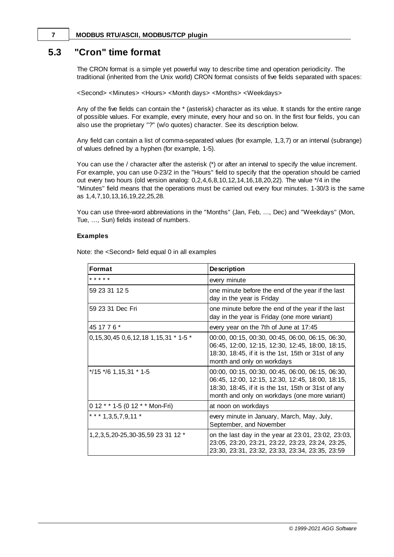#### <span id="page-9-0"></span>**7 MODBUS RTU/ASCII, MODBUS/TCP plugin**

## **5.3 "Cron" time format**

The CRON format is a simple yet powerful way to describe time and operation periodicity. The traditional (inherited from the Unix world) CRON format consists of five fields separated with spaces:

<Second> <Minutes> <Hours> <Month days> <Months> <Weekdays>

Any of the five fields can contain the \* (asterisk) character as its value. It stands for the entire range of possible values. For example, every minute, every hour and so on. In the first four fields, you can also use the proprietary "?" (w/o quotes) character. See its description below.

Any field can contain a list of comma-separated values (for example, 1,3,7) or an interval (subrange) of values defined by a hyphen (for example, 1-5).

You can use the / character after the asterisk (\*) or after an interval to specify the value increment. For example, you can use 0-23/2 in the "Hours" field to specify that the operation should be carried out every two hours (old version analog: 0,2,4,6,8,10,12,14,16,18,20,22). The value \*/4 in the "Minutes" field means that the operations must be carried out every four minutes. 1-30/3 is the same as 1,4,7,10,13,16,19,22,25,28.

You can use three-word abbreviations in the "Months" (Jan, Feb, ..., Dec) and "Weekdays" (Mon, Tue, ..., Sun) fields instead of numbers.

#### **Examples**

Note: the <Second> field equal 0 in all examples

| <b>Format</b>                                | <b>Description</b>                                                                                                                                                                                           |
|----------------------------------------------|--------------------------------------------------------------------------------------------------------------------------------------------------------------------------------------------------------------|
| * * * * *                                    | every minute                                                                                                                                                                                                 |
| 59 23 31 12 5                                | one minute before the end of the year if the last<br>day in the year is Friday                                                                                                                               |
| 59 23 31 Dec Fri                             | one minute before the end of the year if the last<br>day in the year is Friday (one more variant)                                                                                                            |
| 45 17 7 6 *                                  | every year on the 7th of June at 17:45                                                                                                                                                                       |
| 0, 15, 30, 45 0, 6, 12, 18 1, 15, 31 * 1-5 * | 00:00, 00:15, 00:30, 00:45, 06:00, 06:15, 06:30,<br>06:45, 12:00, 12:15, 12:30, 12:45, 18:00, 18:15,<br>18:30, 18:45, if it is the 1st, 15th or 31st of any<br>month and only on workdays                    |
| $*$ /15 $*$ /6 1,15,31 $*$ 1-5               | 00:00, 00:15, 00:30, 00:45, 06:00, 06:15, 06:30,<br>06:45, 12:00, 12:15, 12:30, 12:45, 18:00, 18:15,<br>18:30, 18:45, if it is the 1st, 15th or 31st of any<br>month and only on workdays (one more variant) |
| 0 12 * * 1-5 (0 12 * * Mon-Fri)              | at noon on workdays                                                                                                                                                                                          |
| *** 1,3,5,7,9,11 *                           | every minute in January, March, May, July,<br>September, and November                                                                                                                                        |
| 1, 2, 3, 5, 20-25, 30-35, 59 23 31 12 *      | on the last day in the year at 23:01, 23:02, 23:03,<br>23:05, 23:20, 23:21, 23:22, 23:23, 23:24, 23:25,<br>23:30, 23:31, 23:32, 23:33, 23:34, 23:35, 23:59                                                   |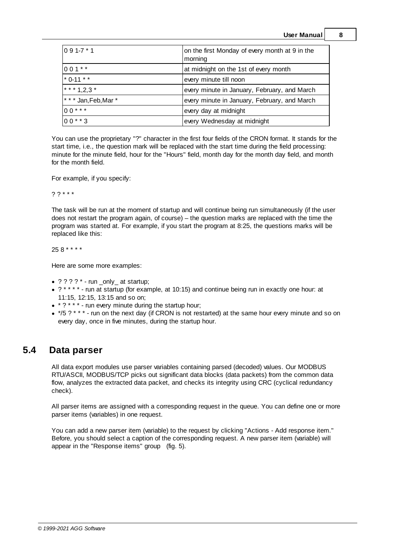**User Manual 8**

| $0.91 - 7 * 1$      | on the first Monday of every month at 9 in the<br>morning |
|---------------------|-----------------------------------------------------------|
| $1001$ **           | at midnight on the 1st of every month                     |
| $*$ 0-11 $*$ *      | every minute till noon                                    |
| * * * 1.2.3 *       | every minute in January, February, and March              |
| *** Jan, Feb, Mar * | every minute in January, February, and March              |
| $100***$            | every day at midnight                                     |
| $0.0$ * * 3         | every Wednesday at midnight                               |

You can use the proprietary "?" character in the first four fields of the CRON format. It stands for the start time, i.e., the question mark will be replaced with the start time during the field processing: minute for the minute field, hour for the "Hours" field, month day for the month day field, and month for the month field.

For example, if you specify:

? ? \* \* \*

The task will be run at the moment of startup and will continue being run simultaneously (if the user does not restart the program again, of course) – the question marks are replaced with the time the program was started at. For example, if you start the program at 8:25, the questions marks will be replaced like this:

25 8 \* \* \* \*

Here are some more examples:

- · ? ? ? ? \* run \_only\_ at startup;
- ? \* \* \* \* run at startup (for example, at 10:15) and continue being run in exactly one hour: at 11:15, 12:15, 13:15 and so on;
- $*$  ?  $*$   $*$  run every minute during the startup hour;
- · \*/5 ? \* \* \* run on the next day (if CRON is not restarted) at the same hour every minute and so on every day, once in five minutes, during the startup hour.

## <span id="page-10-0"></span>**5.4 Data parser**

All data export modules use parser variables containing parsed (decoded) values. Our MODBUS RTU/ASCII, MODBUS/TCP picks out significant data blocks (data packets) from the common data flow, analyzes the extracted data packet, and checks its integrity using CRC (cyclical redundancy check).

All parser items are assigned with a corresponding request in the queue. You can define one or more parser items (variables) in one request.

You can add a new parser item (variable) to the request by clicking "Actions - Add response item." Before, you should select a caption of the corresponding request. A new parser item (variable) will appear in the "Response items" group (fig. 5).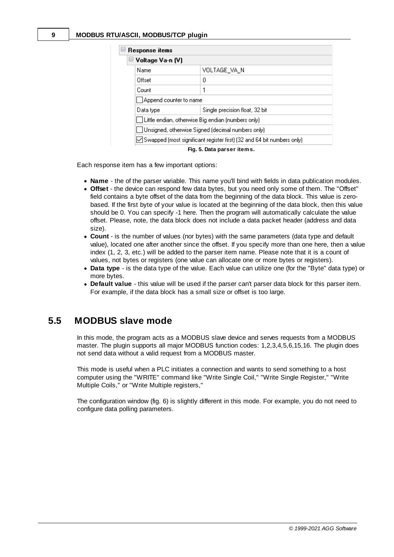| □ Response items                                                         |              |  |  |  |  |
|--------------------------------------------------------------------------|--------------|--|--|--|--|
| □ Voltage Va-n (V)                                                       |              |  |  |  |  |
| Name                                                                     | VOLTAGE_VA_N |  |  |  |  |
| Offset                                                                   | 0            |  |  |  |  |
| Count                                                                    |              |  |  |  |  |
| Append counter to name                                                   |              |  |  |  |  |
| Single precision float, 32 bit<br>Data type                              |              |  |  |  |  |
| □ Little endian, otherwise Big endian (numbers only)                     |              |  |  |  |  |
| □Unsigned, otherwise Signed (decimal numbers only)                       |              |  |  |  |  |
| ○ Swapped (most significant register first) (32 and 64 bit numbers only) |              |  |  |  |  |
| Fig. 5. Data parser items.                                               |              |  |  |  |  |

Each response item has a few important options:

- · **Name** the of the parser variable. This name you'll bind with fields in data publication modules.
- · **Offset** the device can respond few data bytes, but you need only some of them. The "Offset" field contains a byte offset of the data from the beginning of the data block. This value is zerobased. If the first byte of your value is located at the beginning of the data block, then this value should be 0. You can specify -1 here. Then the program will automatically calculate the value offset. Please, note, the data block does not include a data packet header (address and data size).
- · **Count** is the number of values (nor bytes) with the same parameters (data type and default value), located one after another since the offset. If you specify more than one here, then a value index (1, 2, 3, etc.) will be added to the parser item name. Please note that it is a count of values, not bytes or registers (one value can allocate one or more bytes or registers).
- · **Data type** is the data type of the value. Each value can utilize one (for the "Byte" data type) or more bytes.
- · **Default value** this value will be used if the parser can't parser data block for this parser item. For example, if the data block has a small size or offset is too large.

#### <span id="page-11-0"></span>**5.5 MODBUS slave mode**

In this mode, the program acts as a MODBUS slave device and serves requests from a MODBUS master. The plugin supports all major MODBUS function codes: 1,2,3,4,5,6,15,16. The plugin does not send data without a valid request from a MODBUS master.

This mode is useful when a PLC initiates a connection and wants to send something to a host computer using the "WRITE" command like "Write Single Coil," "Write Single Register," "Write Multiple Coils," or "Write Multiple registers,"

The configuration window (fig. 6) is slightly different in this mode. For example, you do not need to configure data polling parameters.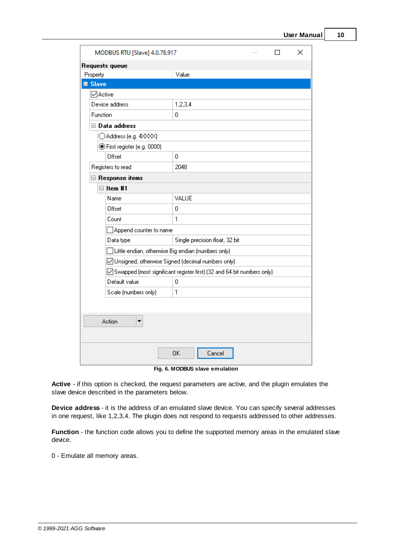| MODBUS RTU [Slave] 4.0.78.917    |                                                                          | П | × |
|----------------------------------|--------------------------------------------------------------------------|---|---|
| Requests queue                   |                                                                          |   |   |
| Property                         | Value                                                                    |   |   |
| ■ Slave                          |                                                                          |   |   |
| <b>√</b> Active                  |                                                                          |   |   |
| Device address                   | 1,2,3,4                                                                  |   |   |
| Function                         | 0                                                                        |   |   |
| $\boxminus$ Data address         |                                                                          |   |   |
| ◯ Address (e.g. 4××××)           |                                                                          |   |   |
| ◉ First register (e.g. 0000)     |                                                                          |   |   |
| Offset                           | 0                                                                        |   |   |
| Registers to read                | 2048                                                                     |   |   |
| □ Response items                 |                                                                          |   |   |
| $\Box$ Item #1                   |                                                                          |   |   |
| Name                             | VALUE                                                                    |   |   |
| Offset                           | ۵                                                                        |   |   |
| Count                            | 1                                                                        |   |   |
| $\exists$ Append counter to name |                                                                          |   |   |
| Data type                        | Single precision float, 32 bit                                           |   |   |
|                                  | $\exists$ Little endian, otherwise Big endian (numbers only).            |   |   |
|                                  | ◯ Unsigned, otherwise Signed (decimal numbers only)                      |   |   |
|                                  | ○ Swapped (most significant register first) (32 and 64 bit numbers only) |   |   |
| Default value                    | 0                                                                        |   |   |
| Scale (numbers only)             | 1                                                                        |   |   |
|                                  |                                                                          |   |   |
|                                  |                                                                          |   |   |
| Action                           |                                                                          |   |   |
|                                  |                                                                          |   |   |

**Fig. 6. MODBUS slave emulation**

Cancel

**Active** - if this option is checked, the request parameters are active, and the plugin emulates the slave device described in the parameters below.

**OK** 

**Device address** - it is the address of an emulated slave device. You can specify several addresses in one request, like 1,2,3,4. The plugin does not respond to requests addressed to other addresses.

**Function** - the function code allows you to define the supported memory areas in the emulated slave device.

0 - Emulate all memory areas.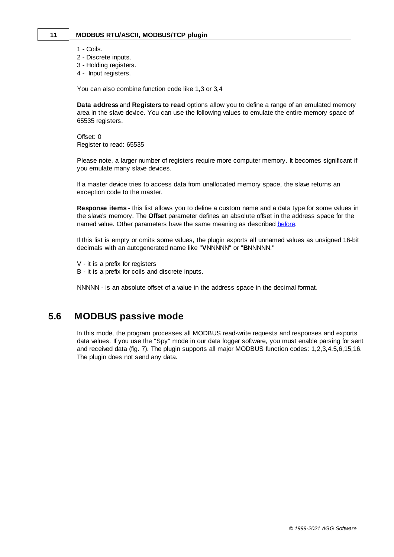#### **11 MODBUS RTU/ASCII, MODBUS/TCP plugin**

- 1 Coils.
- 2 Discrete inputs.
- 3 Holding registers.
- 4 Input registers.

You can also combine function code like 1,3 or 3,4

**Data address** and **Registers to read** options allow you to define a range of an emulated memory area in the slave device. You can use the following values to emulate the entire memory space of 65535 registers.

Offset: 0 Register to read: 65535

Please note, a larger number of registers require more computer memory. It becomes significant if you emulate many slave devices.

If a master device tries to access data from unallocated memory space, the slave returns an exception code to the master.

**Response items** - this list allows you to define a custom name and a data type for some values in the slave's memory. The **Offset** parameter defines an absolute offset in the address space for the named value. Other parameters have the same meaning as described [before.](#page-10-0)

If this list is empty or omits some values, the plugin exports all unnamed values as unsigned 16-bit decimals with an autogenerated name like "**V**NNNNN" or "**B**NNNNN."

V - it is a prefix for registers B - it is a prefix for coils and discrete inputs.

NNNNN - is an absolute offset of a value in the address space in the decimal format.

#### <span id="page-13-0"></span>**5.6 MODBUS passive mode**

In this mode, the program processes all MODBUS read-write requests and responses and exports data values. If you use the "Spy" mode in our data logger software, you must enable parsing for sent and received data (fig. 7). The plugin supports all major MODBUS function codes: 1,2,3,4,5,6,15,16. The plugin does not send any data.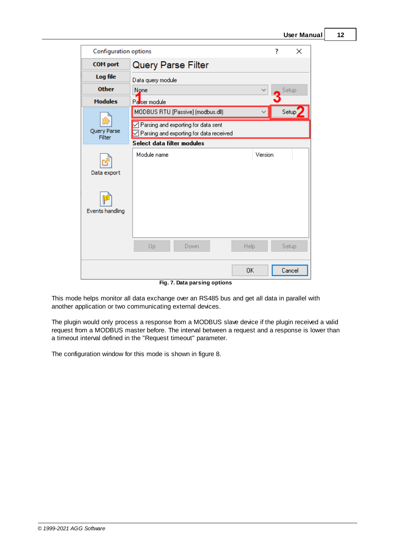| Configuration options      |                                                                                                | ? | ×      |
|----------------------------|------------------------------------------------------------------------------------------------|---|--------|
| <b>COM</b> port            | Query Parse Filter                                                                             |   |        |
| Log file                   | Data query module                                                                              |   |        |
| <b>Other</b>               | None                                                                                           |   | Setup  |
| <b>Modules</b>             | Passer module                                                                                  |   |        |
|                            | MODBUS RTU [Passive] (modbus.dll)                                                              |   | Setup  |
| 恐<br>Query Parse<br>Filter | $\triangleleft$ Parsing and exporting for data sent<br>Parsing and exporting for data received |   |        |
|                            | Select data filter modules                                                                     |   |        |
| Data export                | Version<br>Module name                                                                         |   |        |
| <b>Events handling</b>     |                                                                                                |   |        |
|                            | Up<br>Help<br>Down                                                                             |   | Setup  |
|                            | 0K                                                                                             |   | Cancel |

**Fig. 7. Data parsing options**

This mode helps monitor all data exchange over an RS485 bus and get all data in parallel with another application or two communicating external devices.

The plugin would only process a response from a MODBUS slave device if the plugin received a valid request from a MODBUS master before. The interval between a request and a response is lower than a timeout interval defined in the "Request timeout" parameter.

The configuration window for this mode is shown in figure 8.